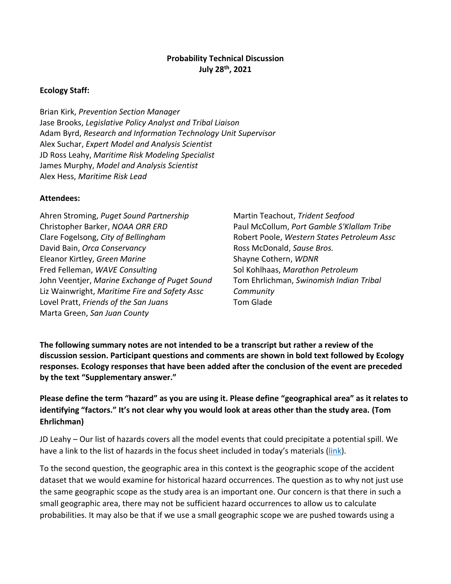### **Probability Technical Discussion July 28th, 2021**

### **Ecology Staff:**

Brian Kirk, *Prevention Section Manager* Jase Brooks, *Legislative Policy Analyst and Tribal Liaison* Adam Byrd, *Research and Information Technology Unit Supervisor* Alex Suchar, *Expert Model and Analysis Scientist* JD Ross Leahy, *Maritime Risk Modeling Specialist* James Murphy, *Model and Analysis Scientist* Alex Hess, *Maritime Risk Lead*

#### **Attendees:**

Ahren Stroming, *Puget Sound Partnership* Christopher Barker, *NOAA ORR ERD* Clare Fogelsong, *City of Bellingham* David Bain, *Orca Conservancy* Eleanor Kirtley, *Green Marine* Fred Felleman, *WAVE Consulting* John Veentjer, *Marine Exchange of Puget Sound* Liz Wainwright, *Maritime Fire and Safety Assc* Lovel Pratt, *Friends of the San Juans* Marta Green, *San Juan County*

Martin Teachout, *Trident Seafood* Paul McCollum, *Port Gamble S'Klallam Tribe* Robert Poole, *Western States Petroleum Assc* Ross McDonald, *Sause Bros.* Shayne Cothern, *WDNR* Sol Kohlhaas, *Marathon Petroleum* Tom Ehrlichman, *Swinomish Indian Tribal Community* Tom Glade

**The following summary notes are not intended to be a transcript but rather a review of the discussion session. Participant questions and comments are shown in bold text followed by Ecology responses. Ecology responses that have been added after the conclusion of the event are preceded by the text "Supplementary answer."**

**Please define the term "hazard" as you are using it. Please define "geographical area" as it relates to identifying "factors." It's not clear why you would look at areas other than the study area. (Tom Ehrlichman)**

JD Leahy – Our list of hazards covers all the model events that could precipitate a potential spill. We have a link to the list of hazards in the focus sheet included in today's materials ([link\)](https://ecology.wa.gov/DOE/files/a3/a383a6f8-79f6-4e04-a21e-043894da0950.pdf).

To the second question, the geographic area in this context is the geographic scope of the accident dataset that we would examine for historical hazard occurrences. The question as to why not just use the same geographic scope as the study area is an important one. Our concern is that there in such a small geographic area, there may not be sufficient hazard occurrences to allow us to calculate probabilities. It may also be that if we use a small geographic scope we are pushed towards using a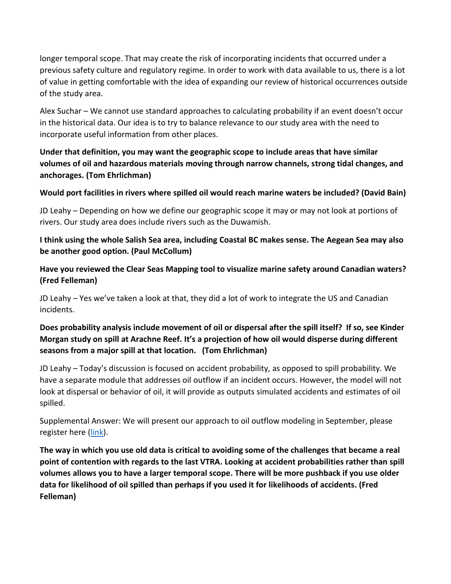longer temporal scope. That may create the risk of incorporating incidents that occurred under a previous safety culture and regulatory regime. In order to work with data available to us, there is a lot of value in getting comfortable with the idea of expanding our review of historical occurrences outside of the study area.

Alex Suchar – We cannot use standard approaches to calculating probability if an event doesn't occur in the historical data. Our idea is to try to balance relevance to our study area with the need to incorporate useful information from other places.

**Under that definition, you may want the geographic scope to include areas that have similar volumes of oil and hazardous materials moving through narrow channels, strong tidal changes, and anchorages. (Tom Ehrlichman)**

**Would port facilities in rivers where spilled oil would reach marine waters be included? (David Bain)**

JD Leahy – Depending on how we define our geographic scope it may or may not look at portions of rivers. Our study area does include rivers such as the Duwamish.

**I think using the whole Salish Sea area, including Coastal BC makes sense. The Aegean Sea may also be another good option. (Paul McCollum)**

**Have you reviewed the Clear Seas Mapping tool to visualize marine safety around Canadian waters? (Fred Felleman)**

JD Leahy – Yes we've taken a look at that, they did a lot of work to integrate the US and Canadian incidents.

# **Does probability analysis include movement of oil or dispersal after the spill itself? If so, see Kinder Morgan study on spill at Arachne Reef. It's a projection of how oil would disperse during different seasons from a major spill at that location. (Tom Ehrlichman)**

JD Leahy – Today's discussion is focused on accident probability, as opposed to spill probability. We have a separate module that addresses oil outflow if an incident occurs. However, the model will not look at dispersal or behavior of oil, it will provide as outputs simulated accidents and estimates of oil spilled.

Supplemental Answer: We will present our approach to oil outflow modeling in September, please register here [\(link\)](https://attendee.gotowebinar.com/register/369385746370627086).

**The way in which you use old data is critical to avoiding some of the challenges that became a real point of contention with regards to the last VTRA. Looking at accident probabilities rather than spill volumes allows you to have a larger temporal scope. There will be more pushback if you use older data for likelihood of oil spilled than perhaps if you used it for likelihoods of accidents. (Fred Felleman)**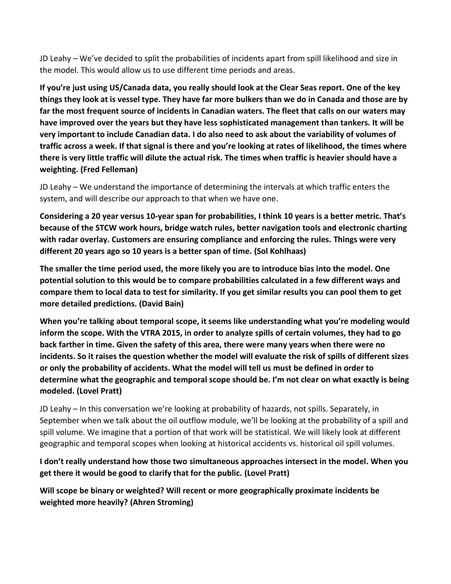JD Leahy – We've decided to split the probabilities of incidents apart from spill likelihood and size in the model. This would allow us to use different time periods and areas.

**If you're just using US/Canada data, you really should look at the Clear Seas report. One of the key things they look at is vessel type. They have far more bulkers than we do in Canada and those are by far the most frequent source of incidents in Canadian waters. The fleet that calls on our waters may have improved over the years but they have less sophisticated management than tankers. It will be very important to include Canadian data. I do also need to ask about the variability of volumes of traffic across a week. If that signal is there and you're looking at rates of likelihood, the times where there is very little traffic will dilute the actual risk. The times when traffic is heavier should have a weighting. (Fred Felleman)**

JD Leahy – We understand the importance of determining the intervals at which traffic enters the system, and will describe our approach to that when we have one.

**Considering a 20 year versus 10-year span for probabilities, I think 10 years is a better metric. That's because of the STCW work hours, bridge watch rules, better navigation tools and electronic charting with radar overlay. Customers are ensuring compliance and enforcing the rules. Things were very different 20 years ago so 10 years is a better span of time. (Sol Kohlhaas)**

**The smaller the time period used, the more likely you are to introduce bias into the model. One potential solution to this would be to compare probabilities calculated in a few different ways and compare them to local data to test for similarity. If you get similar results you can pool them to get more detailed predictions. (David Bain)**

**When you're talking about temporal scope, it seems like understanding what you're modeling would inform the scope. With the VTRA 2015, in order to analyze spills of certain volumes, they had to go back farther in time. Given the safety of this area, there were many years when there were no incidents. So it raises the question whether the model will evaluate the risk of spills of different sizes or only the probability of accidents. What the model will tell us must be defined in order to determine what the geographic and temporal scope should be. I'm not clear on what exactly is being modeled. (Lovel Pratt)**

JD Leahy – In this conversation we're looking at probability of hazards, not spills. Separately, in September when we talk about the oil outflow module, we'll be looking at the probability of a spill and spill volume. We imagine that a portion of that work will be statistical. We will likely look at different geographic and temporal scopes when looking at historical accidents vs. historical oil spill volumes.

**I don't really understand how those two simultaneous approaches intersect in the model. When you get there it would be good to clarify that for the public. (Lovel Pratt)**

**Will scope be binary or weighted? Will recent or more geographically proximate incidents be weighted more heavily? (Ahren Stroming)**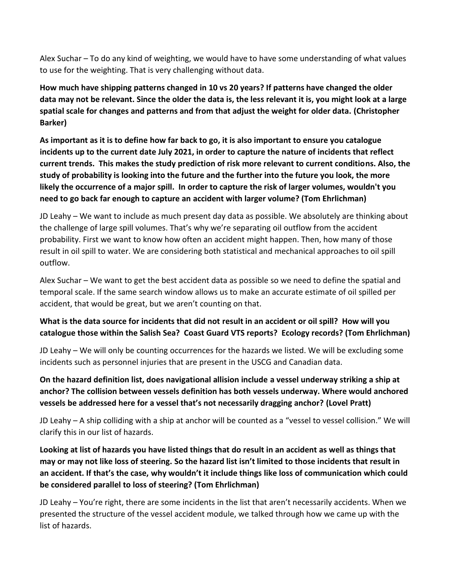Alex Suchar – To do any kind of weighting, we would have to have some understanding of what values to use for the weighting. That is very challenging without data.

**How much have shipping patterns changed in 10 vs 20 years? If patterns have changed the older data may not be relevant. Since the older the data is, the less relevant it is, you might look at a large spatial scale for changes and patterns and from that adjust the weight for older data. (Christopher Barker)**

**As important as it is to define how far back to go, it is also important to ensure you catalogue incidents up to the current date July 2021, in order to capture the nature of incidents that reflect current trends. This makes the study prediction of risk more relevant to current conditions. Also, the study of probability is looking into the future and the further into the future you look, the more likely the occurrence of a major spill. In order to capture the risk of larger volumes, wouldn't you need to go back far enough to capture an accident with larger volume? (Tom Ehrlichman)**

JD Leahy – We want to include as much present day data as possible. We absolutely are thinking about the challenge of large spill volumes. That's why we're separating oil outflow from the accident probability. First we want to know how often an accident might happen. Then, how many of those result in oil spill to water. We are considering both statistical and mechanical approaches to oil spill outflow.

Alex Suchar – We want to get the best accident data as possible so we need to define the spatial and temporal scale. If the same search window allows us to make an accurate estimate of oil spilled per accident, that would be great, but we aren't counting on that.

## **What is the data source for incidents that did not result in an accident or oil spill? How will you catalogue those within the Salish Sea? Coast Guard VTS reports? Ecology records? (Tom Ehrlichman)**

JD Leahy – We will only be counting occurrences for the hazards we listed. We will be excluding some incidents such as personnel injuries that are present in the USCG and Canadian data.

**On the hazard definition list, does navigational allision include a vessel underway striking a ship at anchor? The collision between vessels definition has both vessels underway. Where would anchored vessels be addressed here for a vessel that's not necessarily dragging anchor? (Lovel Pratt)**

JD Leahy – A ship colliding with a ship at anchor will be counted as a "vessel to vessel collision." We will clarify this in our list of hazards.

**Looking at list of hazards you have listed things that do result in an accident as well as things that may or may not like loss of steering. So the hazard list isn't limited to those incidents that result in an accident. If that's the case, why wouldn't it include things like loss of communication which could be considered parallel to loss of steering? (Tom Ehrlichman)**

JD Leahy – You're right, there are some incidents in the list that aren't necessarily accidents. When we presented the structure of the vessel accident module, we talked through how we came up with the list of hazards.